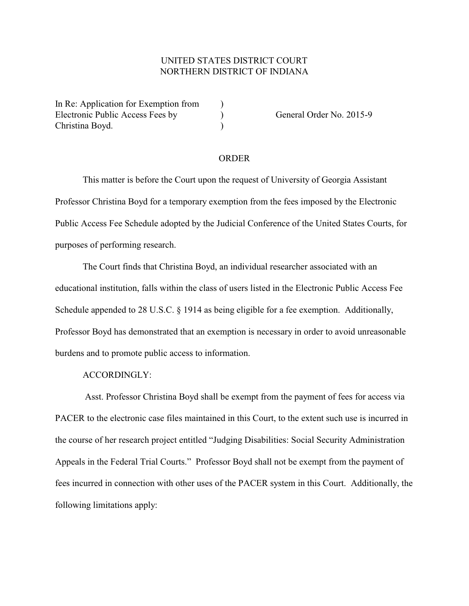## UNITED STATES DISTRICT COURT NORTHERN DISTRICT OF INDIANA

In Re: Application for Exemption from  $\qquad$ ) Electronic Public Access Fees by (a) General Order No. 2015-9 Christina Boyd. )

## ORDER

This matter is before the Court upon the request of University of Georgia Assistant Professor Christina Boyd for a temporary exemption from the fees imposed by the Electronic Public Access Fee Schedule adopted by the Judicial Conference of the United States Courts, for purposes of performing research.

The Court finds that Christina Boyd, an individual researcher associated with an educational institution, falls within the class of users listed in the Electronic Public Access Fee Schedule appended to 28 U.S.C. § 1914 as being eligible for a fee exemption. Additionally, Professor Boyd has demonstrated that an exemption is necessary in order to avoid unreasonable burdens and to promote public access to information.

## ACCORDINGLY:

 Asst. Professor Christina Boyd shall be exempt from the payment of fees for access via PACER to the electronic case files maintained in this Court, to the extent such use is incurred in the course of her research project entitled "Judging Disabilities: Social Security Administration Appeals in the Federal Trial Courts." Professor Boyd shall not be exempt from the payment of fees incurred in connection with other uses of the PACER system in this Court. Additionally, the following limitations apply: